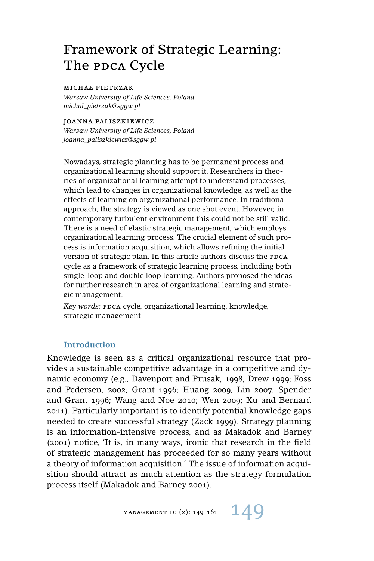# Framework of Strategic Learning: The PDCA Cycle

#### michał pietrzak

*Warsaw University of Life Sciences, Poland michal\_pietrzak@sggw.pl*

joanna paliszkiewicz

*Warsaw University of Life Sciences, Poland joanna\_paliszkiewicz@sggw.pl*

Nowadays, strategic planning has to be permanent process and organizational learning should support it. Researchers in theories of organizational learning attempt to understand processes, which lead to changes in organizational knowledge, as well as the effects of learning on organizational performance. In traditional approach, the strategy is viewed as one shot event. However, in contemporary turbulent environment this could not be still valid. There is a need of elastic strategic management, which employs organizational learning process. The crucial element of such process is information acquisition, which allows refining the initial version of strategic plan. In this article authors discuss the PDCA cycle as a framework of strategic learning process, including both single-loop and double loop learning. Authors proposed the ideas for further research in area of organizational learning and strategic management.

*Key words: PDCA cycle, organizational learning, knowledge,* strategic management

## **Introduction**

Knowledge is seen as a critical organizational resource that provides a sustainable competitive advantage in a competitive and dynamic economy (e.g., Davenport and Prusak, 1998; Drew 1999; Foss and Pedersen, 2002; Grant 1996; Huang 2009; Lin 2007; Spender and Grant 1996; Wang and Noe 2010; Wen 2009; Xu and Bernard 2011). Particularly important is to identify potential knowledge gaps needed to create successful strategy (Zack 1999). Strategy planning is an information-intensive process, and as Makadok and Barney (2001) notice, 'It is, in many ways, ironic that research in the field of strategic management has proceeded for so many years without a theory of information acquisition.' The issue of information acquisition should attract as much attention as the strategy formulation process itself (Makadok and Barney 2001).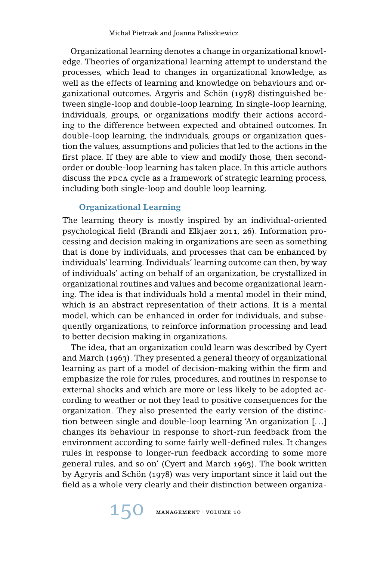Organizational learning denotes a change in organizational knowledge. Theories of organizational learning attempt to understand the processes, which lead to changes in organizational knowledge, as well as the effects of learning and knowledge on behaviours and organizational outcomes. Argyris and Schön (1978) distinguished between single-loop and double-loop learning. In single-loop learning, individuals, groups, or organizations modify their actions according to the difference between expected and obtained outcomes. In double-loop learning, the individuals, groups or organization question the values, assumptions and policies that led to the actions in the first place. If they are able to view and modify those, then secondorder or double-loop learning has taken place. In this article authors discuss the PDCA cycle as a framework of strategic learning process, including both single-loop and double loop learning.

## **Organizational Learning**

The learning theory is mostly inspired by an individual-oriented psychological field (Brandi and Elkjaer 2011, 26). Information processing and decision making in organizations are seen as something that is done by individuals, and processes that can be enhanced by individuals' learning. Individuals' learning outcome can then, by way of individuals' acting on behalf of an organization, be crystallized in organizational routines and values and become organizational learning. The idea is that individuals hold a mental model in their mind, which is an abstract representation of their actions. It is a mental model, which can be enhanced in order for individuals, and subsequently organizations, to reinforce information processing and lead to better decision making in organizations.

The idea, that an organization could learn was described by Cyert and March (1963). They presented a general theory of organizational learning as part of a model of decision-making within the firm and emphasize the role for rules, procedures, and routines in response to external shocks and which are more or less likely to be adopted according to weather or not they lead to positive consequences for the organization. They also presented the early version of the distinction between single and double-loop learning 'An organization [. . .] changes its behaviour in response to short-run feedback from the environment according to some fairly well-defined rules. It changes rules in response to longer-run feedback according to some more general rules, and so on' (Cyert and March 1963). The book written by Agryris and Schön (1978) was very important since it laid out the field as a whole very clearly and their distinction between organiza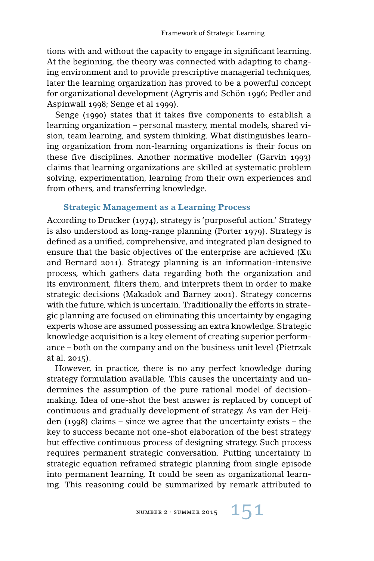tions with and without the capacity to engage in significant learning. At the beginning, the theory was connected with adapting to changing environment and to provide prescriptive managerial techniques, later the learning organization has proved to be a powerful concept for organizational development (Agryris and Schön 1996; Pedler and Aspinwall 1998; Senge et al 1999).

Senge (1990) states that it takes five components to establish a learning organization – personal mastery, mental models, shared vision, team learning, and system thinking. What distinguishes learning organization from non-learning organizations is their focus on these five disciplines. Another normative modeller (Garvin 1993) claims that learning organizations are skilled at systematic problem solving, experimentation, learning from their own experiences and from others, and transferring knowledge.

## **Strategic Management as a Learning Process**

According to Drucker (1974), strategy is 'purposeful action.' Strategy is also understood as long-range planning (Porter 1979). Strategy is defined as a unified, comprehensive, and integrated plan designed to ensure that the basic objectives of the enterprise are achieved (Xu and Bernard 2011). Strategy planning is an information-intensive process, which gathers data regarding both the organization and its environment, filters them, and interprets them in order to make strategic decisions (Makadok and Barney 2001). Strategy concerns with the future, which is uncertain. Traditionally the efforts in strategic planning are focused on eliminating this uncertainty by engaging experts whose are assumed possessing an extra knowledge. Strategic knowledge acquisition is a key element of creating superior performance – both on the company and on the business unit level (Pietrzak at al. 2015).

However, in practice, there is no any perfect knowledge during strategy formulation available. This causes the uncertainty and undermines the assumption of the pure rational model of decisionmaking. Idea of one-shot the best answer is replaced by concept of continuous and gradually development of strategy. As van der Heijden (1998) claims – since we agree that the uncertainty exists – the key to success became not one-shot elaboration of the best strategy but effective continuous process of designing strategy. Such process requires permanent strategic conversation. Putting uncertainty in strategic equation reframed strategic planning from single episode into permanent learning. It could be seen as organizational learning. This reasoning could be summarized by remark attributed to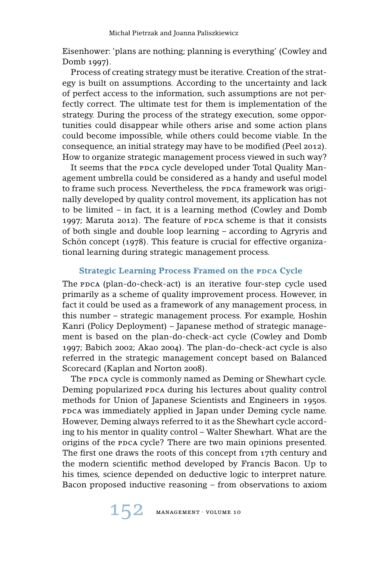Eisenhower: 'plans are nothing; planning is everything' (Cowley and Domb 1997).

Process of creating strategy must be iterative. Creation of the strategy is built on assumptions. According to the uncertainty and lack of perfect access to the information, such assumptions are not perfectly correct. The ultimate test for them is implementation of the strategy. During the process of the strategy execution, some opportunities could disappear while others arise and some action plans could become impossible, while others could become viable. In the consequence, an initial strategy may have to be modified (Peel 2012). How to organize strategic management process viewed in such way?

It seems that the ppca cycle developed under Total Quality Management umbrella could be considered as a handy and useful model to frame such process. Nevertheless, the PDCA framework was originally developed by quality control movement, its application has not to be limited – in fact, it is a learning method (Cowley and Domb 1997; Maruta 2012). The feature of PDCA scheme is that it consists of both single and double loop learning – according to Agryris and Schön concept (1978). This feature is crucial for effective organizational learning during strategic management process.

# **Strategic Learning Process Framed on the PDCA Cycle**

The PDCA (plan-do-check-act) is an iterative four-step cycle used primarily as a scheme of quality improvement process. However, in fact it could be used as a framework of any management process, in this number – strategic management process. For example, Hoshin Kanri (Policy Deployment) – Japanese method of strategic management is based on the plan-do-check-act cycle (Cowley and Domb 1997; Babich 2002; Akao 2004). The plan-do-check-act cycle is also referred in the strategic management concept based on Balanced Scorecard (Kaplan and Norton 2008).

The ppca cycle is commonly named as Deming or Shewhart cycle. Deming popularized ppca during his lectures about quality control methods for Union of Japanese Scientists and Engineers in 1950s. ppca was immediately applied in Japan under Deming cycle name. However, Deming always referred to it as the Shewhart cycle according to his mentor in quality control – Walter Shewhart. What are the origins of the PDCA cycle? There are two main opinions presented. The first one draws the roots of this concept from 17th century and the modern scientific method developed by Francis Bacon. Up to his times, science depended on deductive logic to interpret nature. Bacon proposed inductive reasoning – from observations to axiom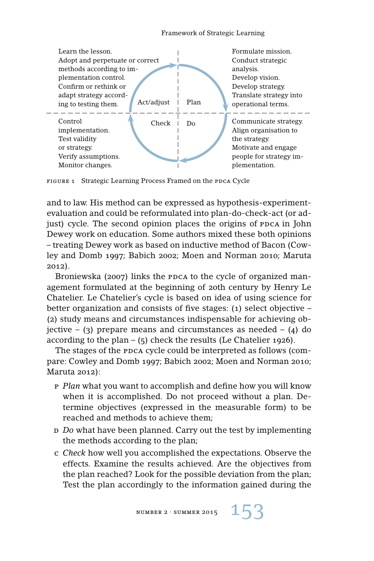

FIGURE 1 Strategic Learning Process Framed on the PDCA Cycle

and to law. His method can be expressed as hypothesis-experimentevaluation and could be reformulated into plan-do-check-act (or adjust) cycle. The second opinion places the origins of PDCA in John Dewey work on education. Some authors mixed these both opinions – treating Dewey work as based on inductive method of Bacon (Cowley and Domb 1997; Babich 2002; Moen and Norman 2010; Maruta 2012).

Broniewska (2007) links the ppca to the cycle of organized management formulated at the beginning of 20th century by Henry Le Chatelier. Le Chatelier's cycle is based on idea of using science for better organization and consists of five stages: (1) select objective – (2) study means and circumstances indispensable for achieving objective – (3) prepare means and circumstances as needed – (4) do according to the plan –  $(5)$  check the results (Le Chatelier 1926).

The stages of the PDCA cycle could be interpreted as follows (compare: Cowley and Domb 1997; Babich 2002; Moen and Norman 2010; Maruta 2012):

- p *Plan* what you want to accomplish and define how you will know when it is accomplished. Do not proceed without a plan. Determine objectives (expressed in the measurable form) to be reached and methods to achieve them;
- d *Do* what have been planned. Carry out the test by implementing the methods according to the plan;
- c *Check* how well you accomplished the expectations. Observe the effects. Examine the results achieved. Are the objectives from the plan reached? Look for the possible deviation from the plan; Test the plan accordingly to the information gained during the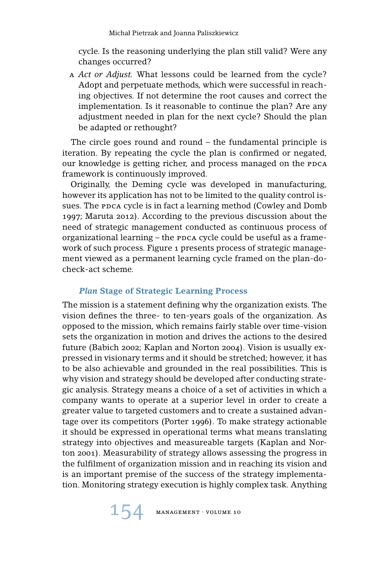cycle. Is the reasoning underlying the plan still valid? Were any changes occurred?

a *Act or Adjust.* What lessons could be learned from the cycle? Adopt and perpetuate methods, which were successful in reaching objectives. If not determine the root causes and correct the implementation. Is it reasonable to continue the plan? Are any adjustment needed in plan for the next cycle? Should the plan be adapted or rethought?

The circle goes round and round – the fundamental principle is iteration. By repeating the cycle the plan is confirmed or negated, our knowledge is getting richer, and process managed on the PDCA framework is continuously improved.

Originally, the Deming cycle was developed in manufacturing, however its application has not to be limited to the quality control issues. The PDCA cycle is in fact a learning method (Cowley and Domb 1997; Maruta 2012). According to the previous discussion about the need of strategic management conducted as continuous process of organizational learning – the PDCA cycle could be useful as a framework of such process. Figure 1 presents process of strategic management viewed as a permanent learning cycle framed on the plan-docheck-act scheme.

# *Plan* **Stage of Strategic Learning Process**

The mission is a statement defining why the organization exists. The vision defines the three- to ten-years goals of the organization. As opposed to the mission, which remains fairly stable over time-vision sets the organization in motion and drives the actions to the desired future (Babich 2002; Kaplan and Norton 2004). Vision is usually expressed in visionary terms and it should be stretched; however, it has to be also achievable and grounded in the real possibilities. This is why vision and strategy should be developed after conducting strategic analysis. Strategy means a choice of a set of activities in which a company wants to operate at a superior level in order to create a greater value to targeted customers and to create a sustained advantage over its competitors (Porter 1996). To make strategy actionable it should be expressed in operational terms what means translating strategy into objectives and measureable targets (Kaplan and Norton 2001). Measurability of strategy allows assessing the progress in the fulfilment of organization mission and in reaching its vision and is an important premise of the success of the strategy implementation. Monitoring strategy execution is highly complex task. Anything

154 MANAGEMENT · VOLUME 10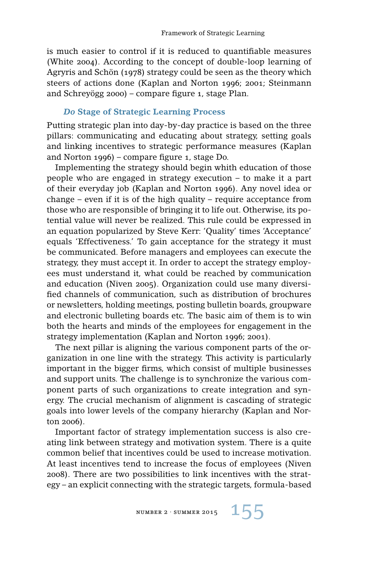is much easier to control if it is reduced to quantifiable measures (White 2004). According to the concept of double-loop learning of Agryris and Schön (1978) strategy could be seen as the theory which steers of actions done (Kaplan and Norton 1996; 2001; Steinmann and Schreyögg 2000) – compare figure 1, stage Plan.

#### *Do* **Stage of Strategic Learning Process**

Putting strategic plan into day-by-day practice is based on the three pillars: communicating and educating about strategy, setting goals and linking incentives to strategic performance measures (Kaplan and Norton 1996) – compare figure 1, stage Do.

Implementing the strategy should begin whith education of those people who are engaged in strategy execution – to make it a part of their everyday job (Kaplan and Norton 1996). Any novel idea or change – even if it is of the high quality – require acceptance from those who are responsible of bringing it to life out. Otherwise, its potential value will never be realized. This rule could be expressed in an equation popularized by Steve Kerr: 'Quality' times 'Acceptance' equals 'Effectiveness.' To gain acceptance for the strategy it must be communicated. Before managers and employees can execute the strategy, they must accept it. In order to accept the strategy employees must understand it, what could be reached by communication and education (Niven 2005). Organization could use many diversified channels of communication, such as distribution of brochures or newsletters, holding meetings, posting bulletin boards, groupware and electronic bulleting boards etc. The basic aim of them is to win both the hearts and minds of the employees for engagement in the strategy implementation (Kaplan and Norton 1996; 2001).

The next pillar is aligning the various component parts of the organization in one line with the strategy. This activity is particularly important in the bigger firms, which consist of multiple businesses and support units. The challenge is to synchronize the various component parts of such organizations to create integration and synergy. The crucial mechanism of alignment is cascading of strategic goals into lower levels of the company hierarchy (Kaplan and Norton 2006).

Important factor of strategy implementation success is also creating link between strategy and motivation system. There is a quite common belief that incentives could be used to increase motivation. At least incentives tend to increase the focus of employees (Niven 2008). There are two possibilities to link incentives with the strategy – an explicit connecting with the strategic targets, formula-based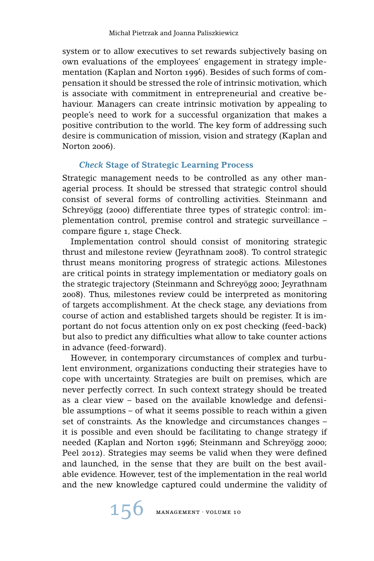system or to allow executives to set rewards subjectively basing on own evaluations of the employees' engagement in strategy implementation (Kaplan and Norton 1996). Besides of such forms of compensation it should be stressed the role of intrinsic motivation, which is associate with commitment in entrepreneurial and creative behaviour. Managers can create intrinsic motivation by appealing to people's need to work for a successful organization that makes a positive contribution to the world. The key form of addressing such desire is communication of mission, vision and strategy (Kaplan and Norton 2006).

# *Check* **Stage of Strategic Learning Process**

Strategic management needs to be controlled as any other managerial process. It should be stressed that strategic control should consist of several forms of controlling activities. Steinmann and Schreyögg (2000) differentiate three types of strategic control: implementation control, premise control and strategic surveillance – compare figure 1, stage Check.

Implementation control should consist of monitoring strategic thrust and milestone review (Jeyrathnam 2008). To control strategic thrust means monitoring progress of strategic actions. Milestones are critical points in strategy implementation or mediatory goals on the strategic trajectory (Steinmann and Schreyögg 2000; Jeyrathnam 2008). Thus, milestones review could be interpreted as monitoring of targets accomplishment. At the check stage, any deviations from course of action and established targets should be register. It is important do not focus attention only on ex post checking (feed-back) but also to predict any difficulties what allow to take counter actions in advance (feed-forward).

However, in contemporary circumstances of complex and turbulent environment, organizations conducting their strategies have to cope with uncertainty. Strategies are built on premises, which are never perfectly correct. In such context strategy should be treated as a clear view – based on the available knowledge and defensible assumptions – of what it seems possible to reach within a given set of constraints. As the knowledge and circumstances changes – it is possible and even should be facilitating to change strategy if needed (Kaplan and Norton 1996; Steinmann and Schreyögg 2000; Peel 2012). Strategies may seems be valid when they were defined and launched, in the sense that they are built on the best available evidence. However, test of the implementation in the real world and the new knowledge captured could undermine the validity of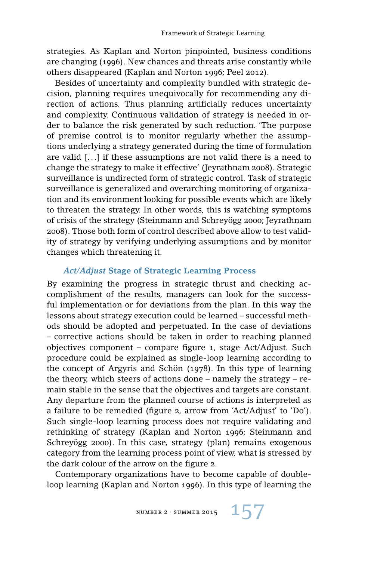strategies. As Kaplan and Norton pinpointed, business conditions are changing (1996). New chances and threats arise constantly while others disappeared (Kaplan and Norton 1996; Peel 2012).

Besides of uncertainty and complexity bundled with strategic decision, planning requires unequivocally for recommending any direction of actions. Thus planning artificially reduces uncertainty and complexity. Continuous validation of strategy is needed in order to balance the risk generated by such reduction. 'The purpose of premise control is to monitor regularly whether the assumptions underlying a strategy generated during the time of formulation are valid [. . .] if these assumptions are not valid there is a need to change the strategy to make it effective' (Jeyrathnam 2008). Strategic surveillance is undirected form of strategic control. Task of strategic surveillance is generalized and overarching monitoring of organization and its environment looking for possible events which are likely to threaten the strategy. In other words, this is watching symptoms of crisis of the strategy (Steinmann and Schreyögg 2000; Jeyrathnam 2008). Those both form of control described above allow to test validity of strategy by verifying underlying assumptions and by monitor changes which threatening it.

### *Act/Adjust* **Stage of Strategic Learning Process**

By examining the progress in strategic thrust and checking accomplishment of the results, managers can look for the successful implementation or for deviations from the plan. In this way the lessons about strategy execution could be learned – successful methods should be adopted and perpetuated. In the case of deviations – corrective actions should be taken in order to reaching planned objectives component – compare figure 1, stage Act/Adjust. Such procedure could be explained as single-loop learning according to the concept of Argyris and Schön (1978). In this type of learning the theory, which steers of actions done – namely the strategy – remain stable in the sense that the objectives and targets are constant. Any departure from the planned course of actions is interpreted as a failure to be remedied (figure 2, arrow from 'Act/Adjust' to 'Do'). Such single-loop learning process does not require validating and rethinking of strategy (Kaplan and Norton 1996; Steinmann and Schreyögg 2000). In this case, strategy (plan) remains exogenous category from the learning process point of view, what is stressed by the dark colour of the arrow on the figure 2.

Contemporary organizations have to become capable of doubleloop learning (Kaplan and Norton 1996). In this type of learning the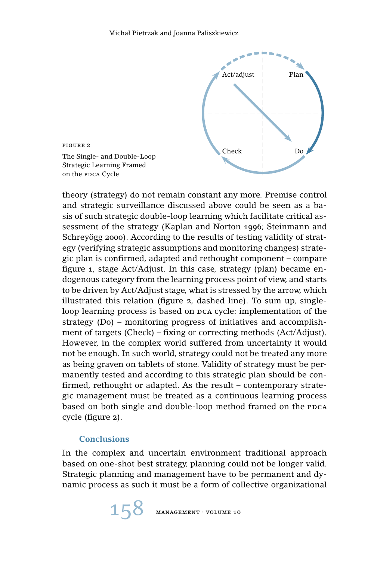

theory (strategy) do not remain constant any more. Premise control and strategic surveillance discussed above could be seen as a basis of such strategic double-loop learning which facilitate critical assessment of the strategy (Kaplan and Norton 1996; Steinmann and Schreyögg 2000). According to the results of testing validity of strategy (verifying strategic assumptions and monitoring changes) strategic plan is confirmed, adapted and rethought component – compare figure 1, stage Act/Adjust. In this case, strategy (plan) became endogenous category from the learning process point of view, and starts to be driven by Act/Adjust stage, what is stressed by the arrow, which illustrated this relation (figure 2, dashed line). To sum up, singleloop learning process is based on  $pca$  cycle: implementation of the strategy (Do) – monitoring progress of initiatives and accomplishment of targets (Check) – fixing or correcting methods (Act/Adjust). However, in the complex world suffered from uncertainty it would not be enough. In such world, strategy could not be treated any more as being graven on tablets of stone. Validity of strategy must be permanently tested and according to this strategic plan should be confirmed, rethought or adapted. As the result – contemporary strategic management must be treated as a continuous learning process based on both single and double-loop method framed on the PDCA cycle (figure 2).

# **Conclusions**

In the complex and uncertain environment traditional approach based on one-shot best strategy, planning could not be longer valid. Strategic planning and management have to be permanent and dynamic process as such it must be a form of collective organizational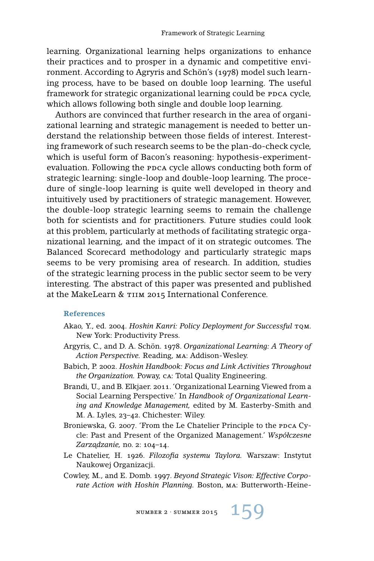learning. Organizational learning helps organizations to enhance their practices and to prosper in a dynamic and competitive environment. According to Agryris and Schön's (1978) model such learning process, have to be based on double loop learning. The useful framework for strategic organizational learning could be PDCA cycle, which allows following both single and double loop learning.

Authors are convinced that further research in the area of organizational learning and strategic management is needed to better understand the relationship between those fields of interest. Interesting framework of such research seems to be the plan-do-check cycle, which is useful form of Bacon's reasoning: hypothesis-experimentevaluation. Following the ppca cycle allows conducting both form of strategic learning: single-loop and double-loop learning. The procedure of single-loop learning is quite well developed in theory and intuitively used by practitioners of strategic management. However, the double-loop strategic learning seems to remain the challenge both for scientists and for practitioners. Future studies could look at this problem, particularly at methods of facilitating strategic organizational learning, and the impact of it on strategic outcomes. The Balanced Scorecard methodology and particularly strategic maps seems to be very promising area of research. In addition, studies of the strategic learning process in the public sector seem to be very interesting. The abstract of this paper was presented and published at the MakeLearn & TIIM 2015 International Conference.

#### **References**

- Akao, Y., ed. 2004. *Hoshin Kanri: Policy Deployment for Successful* TOM. New York: Productivity Press.
- Argyris, C., and D. A. Schön. 1978. *Organizational Learning: A Theory of Action Perspective.* Reading, ma: Addison-Wesley.
- Babich, P. 2002. *Hoshin Handbook: Focus and Link Activities Throughout the Organization.* Poway, ca: Total Quality Engineering.
- Brandi, U., and B. Elkjaer. 2011. 'Organizational Learning Viewed from a Social Learning Perspective.' In *Handbook of Organizational Learning and Knowledge Management,* edited by M. Easterby-Smith and M. A. Lyles, 23–42. Chichester: Wiley.
- Broniewska, G. 2007. 'From the Le Chatelier Principle to the PDCA Cycle: Past and Present of the Organized Management.' *Współczesne Zarz ˛adzanie,* no. 2: 104–14.
- Le Chatelier, H. 1926. *Filozofia systemu Taylora.* Warszaw: Instytut Naukowej Organizacji.
- Cowley, M., and E. Domb. 1997. *Beyond Strategic Vison: Effective Corporate Action with Hoshin Planning.* Boston, ma: Butterworth-Heine-

NUMBER 2 · SUMMER 2015  $159$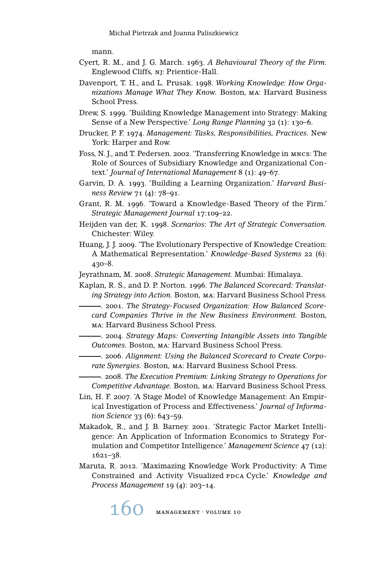mann.

- Cyert, R. M., and J. G. March. 1963. *A Behavioural Theory of the Firm.* Englewood Cliffs, NJ: Prientice-Hall.
- Davenport, T. H., and L. Prusak. 1998. *Working Knowledge: How Organizations Manage What They Know.* Boston, ma: Harvard Business School Press.
- Drew, S. 1999. 'Building Knowledge Management into Strategy: Making Sense of a New Perspective.' *Long Range Planning* 32 (1): 130–6.
- Drucker, P. F. 1974. *Management: Tasks, Responsibilities, Practices.* New York: Harper and Row.
- Foss, N. J., and T. Pedersen. 2002. 'Transferring Knowledge in mncs: The Role of Sources of Subsidiary Knowledge and Organizational Context.' *Journal of International Management* 8 (1): 49–67.
- Garvin, D. A. 1993. 'Building a Learning Organization.' *Harvard Business Review* 71 (4): 78–91.
- Grant, R. M. 1996. 'Toward a Knowledge-Based Theory of the Firm.' *Strategic Management Journal* 17:109–22.
- Heijden van der, K. 1998. *Scenarios: The Art of Strategic Conversation.* Chichester: Wiley.
- Huang, J. J. 2009. 'The Evolutionary Perspective of Knowledge Creation: A Mathematical Representation.' *Knowledge-Based Systems* 22 (6): 430–8.
- Jeyrathnam, M. 2008. *Strategic Management.* Mumbai: Himalaya.
- Kaplan, R. S., and D. P. Norton. 1996. *The Balanced Scorecard: Translating Strategy into Action.* Boston, ma: Harvard Business School Press.
- . 2001. *The Strategy-Focused Organization: How Balanced Scorecard Companies Thrive in the New Business Environment.* Boston, ma: Harvard Business School Press.
	- . 2004. *Strategy Maps: Converting Intangible Assets into Tangible Outcomes.* Boston, ma: Harvard Business School Press.
	- . 2006. *Alignment: Using the Balanced Scorecard to Create Corporate Synergies.* Boston, ma: Harvard Business School Press.
	- . 2008. *The Execution Premium: Linking Strategy to Operations for Competitive Advantage.* Boston, ma: Harvard Business School Press.
- Lin, H. F. 2007. 'A Stage Model of Knowledge Management: An Empirical Investigation of Process and Effectiveness.' *Journal of Information Science* 33 (6): 643–59.
- Makadok, R., and J. B. Barney. 2001. 'Strategic Factor Market Intelligence: An Application of Information Economics to Strategy Formulation and Competitor Intelligence.' *Management Science* 47 (12): 1621–38.
- Maruta, R. 2012. 'Maximazing Knowledge Work Productivity: A Time Constrained and Activity Visualized PDCA Cycle.' *Knowledge and Process Management* 19 (4): 203–14.

160 MANAGEMENT · VOLUME 10